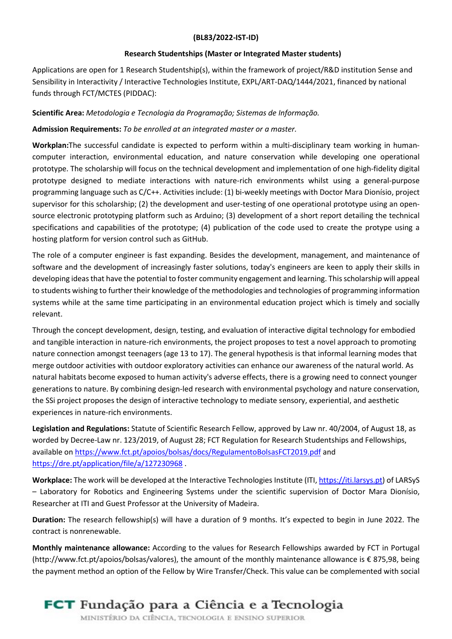## (BL83/2022-IST-ID)

#### Research Studentships (Master or Integrated Master students)

Applications are open for 1 Research Studentship(s), within the framework of project/R&D institution Sense and Sensibility in Interactivity / Interactive Technologies Institute, EXPL/ART-DAQ/1444/2021, financed by national funds through FCT/MCTES (PIDDAC):

## Scientific Area: Metodologia e Tecnologia da Programação; Sistemas de Informação.

### Admission Requirements: To be enrolled at an integrated master or a master.

Workplan:The successful candidate is expected to perform within a multi-disciplinary team working in humancomputer interaction, environmental education, and nature conservation while developing one operational prototype. The scholarship will focus on the technical development and implementation of one high-fidelity digital prototype designed to mediate interactions with nature-rich environments whilst using a general-purpose programming language such as C/C++. Activities include: (1) bi-weekly meetings with Doctor Mara Dionísio, project supervisor for this scholarship; (2) the development and user-testing of one operational prototype using an opensource electronic prototyping platform such as Arduino; (3) development of a short report detailing the technical specifications and capabilities of the prototype; (4) publication of the code used to create the protype using a hosting platform for version control such as GitHub.

The role of a computer engineer is fast expanding. Besides the development, management, and maintenance of software and the development of increasingly faster solutions, today's engineers are keen to apply their skills in developing ideas that have the potential to foster community engagement and learning. This scholarship will appeal to students wishing to further their knowledge of the methodologies and technologies of programming information systems while at the same time participating in an environmental education project which is timely and socially relevant.

Through the concept development, design, testing, and evaluation of interactive digital technology for embodied and tangible interaction in nature-rich environments, the project proposes to test a novel approach to promoting nature connection amongst teenagers (age 13 to 17). The general hypothesis is that informal learning modes that merge outdoor activities with outdoor exploratory activities can enhance our awareness of the natural world. As natural habitats become exposed to human activity's adverse effects, there is a growing need to connect younger generations to nature. By combining design-led research with environmental psychology and nature conservation, the SSi project proposes the design of interactive technology to mediate sensory, experiential, and aesthetic experiences in nature-rich environments.

Legislation and Regulations: Statute of Scientific Research Fellow, approved by Law nr. 40/2004, of August 18, as worded by Decree-Law nr. 123/2019, of August 28; FCT Regulation for Research Studentships and Fellowships, available on https://www.fct.pt/apoios/bolsas/docs/RegulamentoBolsasFCT2019.pdf and https://dre.pt/application/file/a/127230968 .

Workplace: The work will be developed at the Interactive Technologies Institute (ITI, https://iti.larsys.pt) of LARSyS – Laboratory for Robotics and Engineering Systems under the scientific supervision of Doctor Mara Dionísio, Researcher at ITI and Guest Professor at the University of Madeira.

Duration: The research fellowship(s) will have a duration of 9 months. It's expected to begin in June 2022. The contract is nonrenewable.

Monthly maintenance allowance: According to the values for Research Fellowships awarded by FCT in Portugal (http://www.fct.pt/apoios/bolsas/valores), the amount of the monthly maintenance allowance is € 875,98, being the payment method an option of the Fellow by Wire Transfer/Check. This value can be complemented with social

# **FCT** Fundação para a Ciência e a Tecnologia

MINISTÉRIO DA CIÊNCIA, TECNOLOGIA E ENSINO SUPERIOR